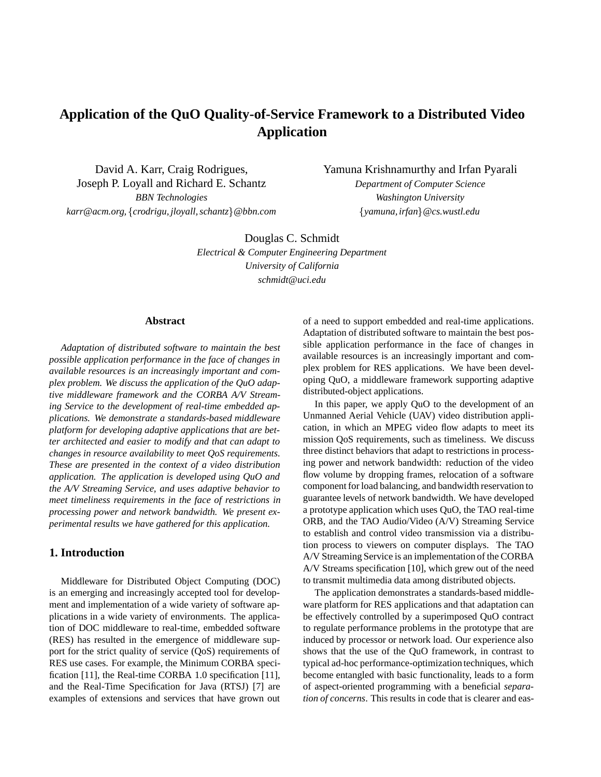# **Application of the QuO Quality-of-Service Framework to a Distributed Video Application**

Joseph P. Loyall and Richard E. Schantz *Department of Computer Science karr@acm.org,* f*crodrigu, jloyall, schantz*g*@bbn.com* f*yamuna, irfan*g*@cs.wustl.edu*

David A. Karr, Craig Rodrigues, Yamuna Krishnamurthy and Irfan Pyarali *BBN Technologies Washington University*

# Douglas C. Schmidt

*Electrical & Computer Engineering Department University of California schmidt@uci.edu*

#### **Abstract**

*Adaptation of distributed software to maintain the best possible application performance in the face of changes in available resources is an increasingly important and complex problem. We discuss the application of the QuO adaptive middleware framework and the CORBA A/V Streaming Service to the development of real-time embedded applications. We demonstrate a standards-based middleware platform for developing adaptive applications that are better architected and easier to modify and that can adapt to changes in resource availability to meet QoS requirements. These are presented in the context of a video distribution application. The application is developed using QuO and the A/V Streaming Service, and uses adaptive behavior to meet timeliness requirements in the face of restrictions in processing power and network bandwidth. We present experimental results we have gathered for this application.*

# **1. Introduction**

Middleware for Distributed Object Computing (DOC) is an emerging and increasingly accepted tool for development and implementation of a wide variety of software applications in a wide variety of environments. The application of DOC middleware to real-time, embedded software (RES) has resulted in the emergence of middleware support for the strict quality of service (QoS) requirements of RES use cases. For example, the Minimum CORBA specification [11], the Real-time CORBA 1.0 specification [11], and the Real-Time Specification for Java (RTSJ) [7] are examples of extensions and services that have grown out

of a need to support embedded and real-time applications. Adaptation of distributed software to maintain the best possible application performance in the face of changes in available resources is an increasingly important and complex problem for RES applications. We have been developing QuO, a middleware framework supporting adaptive distributed-object applications.

In this paper, we apply QuO to the development of an Unmanned Aerial Vehicle (UAV) video distribution application, in which an MPEG video flow adapts to meet its mission QoS requirements, such as timeliness. We discuss three distinct behaviors that adapt to restrictions in processing power and network bandwidth: reduction of the video flow volume by dropping frames, relocation of a software component for load balancing, and bandwidth reservation to guarantee levels of network bandwidth. We have developed a prototype application which uses QuO, the TAO real-time ORB, and the TAO Audio/Video (A/V) Streaming Service to establish and control video transmission via a distribution process to viewers on computer displays. The TAO A/V Streaming Service is an implementation of the CORBA A/V Streams specification [10], which grew out of the need to transmit multimedia data among distributed objects.

The application demonstrates a standards-based middleware platform for RES applications and that adaptation can be effectively controlled by a superimposed QuO contract to regulate performance problems in the prototype that are induced by processor or network load. Our experience also shows that the use of the QuO framework, in contrast to typical ad-hoc performance-optimization techniques, which become entangled with basic functionality, leads to a form of aspect-oriented programming with a beneficial *separation of concerns*. This results in code that is clearer and eas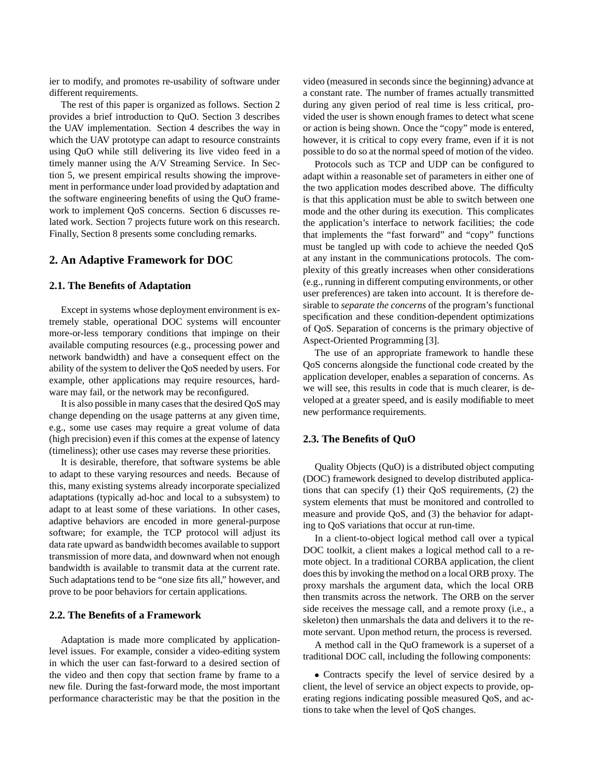ier to modify, and promotes re-usability of software under different requirements.

The rest of this paper is organized as follows. Section 2 provides a brief introduction to QuO. Section 3 describes the UAV implementation. Section 4 describes the way in which the UAV prototype can adapt to resource constraints using QuO while still delivering its live video feed in a timely manner using the A/V Streaming Service. In Section 5, we present empirical results showing the improvement in performance under load provided by adaptation and the software engineering benefits of using the QuO framework to implement QoS concerns. Section 6 discusses related work. Section 7 projects future work on this research. Finally, Section 8 presents some concluding remarks.

### **2. An Adaptive Framework for DOC**

### **2.1. The Benefits of Adaptation**

Except in systems whose deployment environment is extremely stable, operational DOC systems will encounter more-or-less temporary conditions that impinge on their available computing resources (e.g., processing power and network bandwidth) and have a consequent effect on the ability of the system to deliver the QoS needed by users. For example, other applications may require resources, hardware may fail, or the network may be reconfigured.

It is also possible in many cases that the desired QoS may change depending on the usage patterns at any given time, e.g., some use cases may require a great volume of data (high precision) even if this comes at the expense of latency (timeliness); other use cases may reverse these priorities.

It is desirable, therefore, that software systems be able to adapt to these varying resources and needs. Because of this, many existing systems already incorporate specialized adaptations (typically ad-hoc and local to a subsystem) to adapt to at least some of these variations. In other cases, adaptive behaviors are encoded in more general-purpose software; for example, the TCP protocol will adjust its data rate upward as bandwidth becomes available to support transmission of more data, and downward when not enough bandwidth is available to transmit data at the current rate. Such adaptations tend to be "one size fits all," however, and prove to be poor behaviors for certain applications.

# **2.2. The Benefits of a Framework**

Adaptation is made more complicated by applicationlevel issues. For example, consider a video-editing system in which the user can fast-forward to a desired section of the video and then copy that section frame by frame to a new file. During the fast-forward mode, the most important performance characteristic may be that the position in the

video (measured in seconds since the beginning) advance at a constant rate. The number of frames actually transmitted during any given period of real time is less critical, provided the user is shown enough frames to detect what scene or action is being shown. Once the "copy" mode is entered, however, it is critical to copy every frame, even if it is not possible to do so at the normal speed of motion of the video.

Protocols such as TCP and UDP can be configured to adapt within a reasonable set of parameters in either one of the two application modes described above. The difficulty is that this application must be able to switch between one mode and the other during its execution. This complicates the application's interface to network facilities; the code that implements the "fast forward" and "copy" functions must be tangled up with code to achieve the needed QoS at any instant in the communications protocols. The complexity of this greatly increases when other considerations (e.g., running in different computing environments, or other user preferences) are taken into account. It is therefore desirable to *separate the concerns* of the program's functional specification and these condition-dependent optimizations of QoS. Separation of concerns is the primary objective of Aspect-Oriented Programming [3].

The use of an appropriate framework to handle these QoS concerns alongside the functional code created by the application developer, enables a separation of concerns. As we will see, this results in code that is much clearer, is developed at a greater speed, and is easily modifiable to meet new performance requirements.

#### **2.3. The Benefits of QuO**

Quality Objects (QuO) is a distributed object computing (DOC) framework designed to develop distributed applications that can specify (1) their QoS requirements, (2) the system elements that must be monitored and controlled to measure and provide QoS, and (3) the behavior for adapting to QoS variations that occur at run-time.

In a client-to-object logical method call over a typical DOC toolkit, a client makes a logical method call to a remote object. In a traditional CORBA application, the client does this by invoking the method on a local ORB proxy. The proxy marshals the argument data, which the local ORB then transmits across the network. The ORB on the server side receives the message call, and a remote proxy (i.e., a skeleton) then unmarshals the data and delivers it to the remote servant. Upon method return, the process is reversed.

A method call in the QuO framework is a superset of a traditional DOC call, including the following components:

 Contracts specify the level of service desired by a client, the level of service an object expects to provide, operating regions indicating possible measured QoS, and actions to take when the level of QoS changes.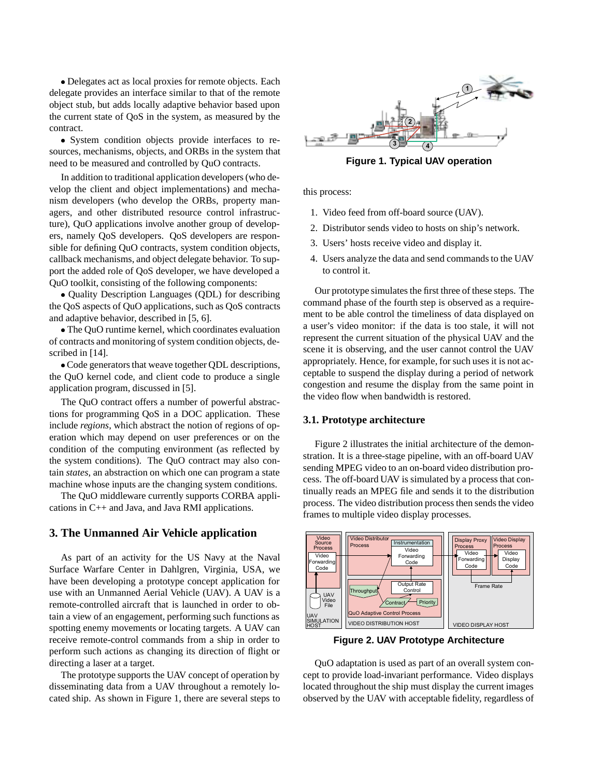Delegates act as local proxies for remote objects. Each delegate provides an interface similar to that of the remote object stub, but adds locally adaptive behavior based upon the current state of QoS in the system, as measured by the contract.

 System condition objects provide interfaces to resources, mechanisms, objects, and ORBs in the system that need to be measured and controlled by QuO contracts.

In addition to traditional application developers (who develop the client and object implementations) and mechanism developers (who develop the ORBs, property managers, and other distributed resource control infrastructure), QuO applications involve another group of developers, namely QoS developers. QoS developers are responsible for defining QuO contracts, system condition objects, callback mechanisms, and object delegate behavior. To support the added role of QoS developer, we have developed a QuO toolkit, consisting of the following components:

 Quality Description Languages (QDL) for describing the QoS aspects of QuO applications, such as QoS contracts and adaptive behavior, described in [5, 6].

 The QuO runtime kernel, which coordinates evaluation of contracts and monitoring of system condition objects, described in [14].

 Code generators that weave together QDL descriptions, the QuO kernel code, and client code to produce a single application program, discussed in [5].

The QuO contract offers a number of powerful abstractions for programming QoS in a DOC application. These include *regions*, which abstract the notion of regions of operation which may depend on user preferences or on the condition of the computing environment (as reflected by the system conditions). The QuO contract may also contain *states*, an abstraction on which one can program a state machine whose inputs are the changing system conditions.

The QuO middleware currently supports CORBA applications in C++ and Java, and Java RMI applications.

# **3. The Unmanned Air Vehicle application**

As part of an activity for the US Navy at the Naval Surface Warfare Center in Dahlgren, Virginia, USA, we have been developing a prototype concept application for use with an Unmanned Aerial Vehicle (UAV). A UAV is a remote-controlled aircraft that is launched in order to obtain a view of an engagement, performing such functions as spotting enemy movements or locating targets. A UAV can receive remote-control commands from a ship in order to perform such actions as changing its direction of flight or directing a laser at a target.

The prototype supports the UAV concept of operation by disseminating data from a UAV throughout a remotely located ship. As shown in Figure 1, there are several steps to



**Figure 1. Typical UAV operation**

this process:

- 1. Video feed from off-board source (UAV).
- 2. Distributor sends video to hosts on ship's network.
- 3. Users' hosts receive video and display it.
- 4. Users analyze the data and send commands to the UAV to control it.

Our prototype simulates the first three of these steps. The command phase of the fourth step is observed as a requirement to be able control the timeliness of data displayed on a user's video monitor: if the data is too stale, it will not represent the current situation of the physical UAV and the scene it is observing, and the user cannot control the UAV appropriately. Hence, for example, for such uses it is not acceptable to suspend the display during a period of network congestion and resume the display from the same point in the video flow when bandwidth is restored.

# **3.1. Prototype architecture**

Figure 2 illustrates the initial architecture of the demonstration. It is a three-stage pipeline, with an off-board UAV sending MPEG video to an on-board video distribution process. The off-board UAV is simulated by a process that continually reads an MPEG file and sends it to the distribution process. The video distribution process then sends the video frames to multiple video display processes.



**Figure 2. UAV Prototype Architecture**

QuO adaptation is used as part of an overall system concept to provide load-invariant performance. Video displays located throughout the ship must display the current images observed by the UAV with acceptable fidelity, regardless of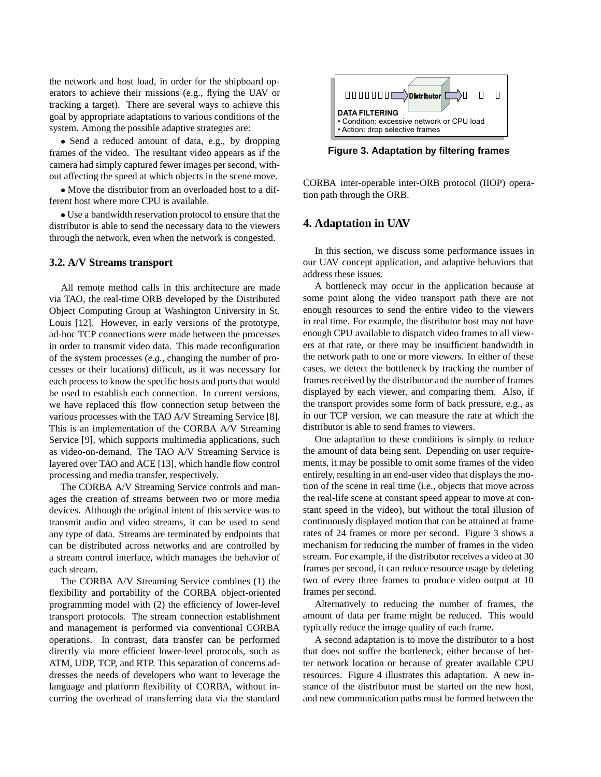the network and host load, in order for the shipboard operators to achieve their missions (e.g., flying the UAV or tracking a target). There are several ways to achieve this goal by appropriate adaptations to various conditions of the system. Among the possible adaptive strategies are:

 Send a reduced amount of data, e.g., by dropping frames of the video. The resultant video appears as if the camera had simply captured fewer images per second, without affecting the speed at which objects in the scene move.

 Move the distributor from an overloaded host to a different host where more CPU is available.

 Use a bandwidth reservation protocol to ensure that the distributor is able to send the necessary data to the viewers through the network, even when the network is congested.

#### **3.2. A/V Streams transport**

All remote method calls in this architecture are made via TAO, the real-time ORB developed by the Distributed Object Computing Group at Washington University in St. Louis [12]. However, in early versions of the prototype, ad-hoc TCP connections were made between the processes in order to transmit video data. This made reconfiguration of the system processes (*e.g.,* changing the number of processes or their locations) difficult, as it was necessary for each process to know the specific hosts and ports that would be used to establish each connection. In current versions, we have replaced this flow connection setup between the various processes with the TAO A/V Streaming Service [8]. This is an implementation of the CORBA A/V Streaming Service [9], which supports multimedia applications, such as video-on-demand. The TAO A/V Streaming Service is layered over TAO and ACE [13], which handle flow control processing and media transfer, respectively.

The CORBA A/V Streaming Service controls and manages the creation of streams between two or more media devices. Although the original intent of this service was to transmit audio and video streams, it can be used to send any type of data. Streams are terminated by endpoints that can be distributed across networks and are controlled by a stream control interface, which manages the behavior of each stream.

The CORBA A/V Streaming Service combines (1) the flexibility and portability of the CORBA object-oriented programming model with (2) the efficiency of lower-level transport protocols. The stream connection establishment and management is performed via conventional CORBA operations. In contrast, data transfer can be performed directly via more efficient lower-level protocols, such as ATM, UDP, TCP, and RTP. This separation of concerns addresses the needs of developers who want to leverage the language and platform flexibility of CORBA, without incurring the overhead of transferring data via the standard



**Figure 3. Adaptation by filtering frames**

CORBA inter-operable inter-ORB protocol (IIOP) operation path through the ORB.

# **4. Adaptation in UAV**

In this section, we discuss some performance issues in our UAV concept application, and adaptive behaviors that address these issues.

A bottleneck may occur in the application because at some point along the video transport path there are not enough resources to send the entire video to the viewers in real time. For example, the distributor host may not have enough CPU available to dispatch video frames to all viewers at that rate, or there may be insufficient bandwidth in the network path to one or more viewers. In either of these cases, we detect the bottleneck by tracking the number of frames received by the distributor and the number of frames displayed by each viewer, and comparing them. Also, if the transport provides some form of back pressure, e.g., as in our TCP version, we can measure the rate at which the distributor is able to send frames to viewers.

One adaptation to these conditions is simply to reduce the amount of data being sent. Depending on user requirements, it may be possible to omit some frames of the video entirely, resulting in an end-user video that displays the motion of the scene in real time (i.e., objects that move across the real-life scene at constant speed appear to move at constant speed in the video), but without the total illusion of continuously displayed motion that can be attained at frame rates of 24 frames or more per second. Figure 3 shows a mechanism for reducing the number of frames in the video stream. For example, if the distributor receives a video at 30 frames per second, it can reduce resource usage by deleting two of every three frames to produce video output at 10 frames per second.

Alternatively to reducing the number of frames, the amount of data per frame might be reduced. This would typically reduce the image quality of each frame.

A second adaptation is to move the distributor to a host that does not suffer the bottleneck, either because of better network location or because of greater available CPU resources. Figure 4 illustrates this adaptation. A new instance of the distributor must be started on the new host, and new communication paths must be formed between the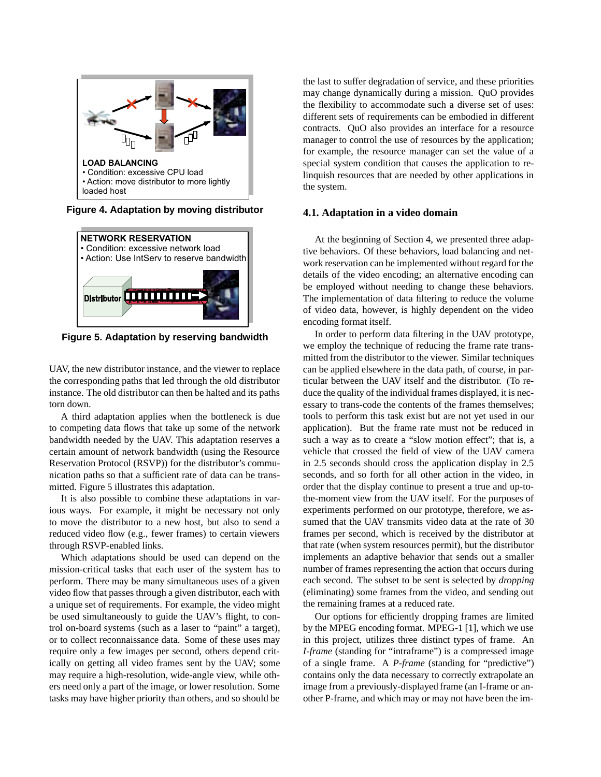

**Figure 4. Adaptation by moving distributor**



**Figure 5. Adaptation by reserving bandwidth**

UAV, the new distributor instance, and the viewer to replace the corresponding paths that led through the old distributor instance. The old distributor can then be halted and its paths torn down.

A third adaptation applies when the bottleneck is due to competing data flows that take up some of the network bandwidth needed by the UAV. This adaptation reserves a certain amount of network bandwidth (using the Resource Reservation Protocol (RSVP)) for the distributor's communication paths so that a sufficient rate of data can be transmitted. Figure 5 illustrates this adaptation.

It is also possible to combine these adaptations in various ways. For example, it might be necessary not only to move the distributor to a new host, but also to send a reduced video flow (e.g., fewer frames) to certain viewers through RSVP-enabled links.

Which adaptations should be used can depend on the mission-critical tasks that each user of the system has to perform. There may be many simultaneous uses of a given video flow that passes through a given distributor, each with a unique set of requirements. For example, the video might be used simultaneously to guide the UAV's flight, to control on-board systems (such as a laser to "paint" a target), or to collect reconnaissance data. Some of these uses may require only a few images per second, others depend critically on getting all video frames sent by the UAV; some may require a high-resolution, wide-angle view, while others need only a part of the image, or lower resolution. Some tasks may have higher priority than others, and so should be the last to suffer degradation of service, and these priorities may change dynamically during a mission. QuO provides the flexibility to accommodate such a diverse set of uses: different sets of requirements can be embodied in different contracts. QuO also provides an interface for a resource manager to control the use of resources by the application; for example, the resource manager can set the value of a special system condition that causes the application to relinquish resources that are needed by other applications in the system.

#### **4.1. Adaptation in a video domain**

At the beginning of Section 4, we presented three adaptive behaviors. Of these behaviors, load balancing and network reservation can be implemented without regard for the details of the video encoding; an alternative encoding can be employed without needing to change these behaviors. The implementation of data filtering to reduce the volume of video data, however, is highly dependent on the video encoding format itself.

In order to perform data filtering in the UAV prototype, we employ the technique of reducing the frame rate transmitted from the distributor to the viewer. Similar techniques can be applied elsewhere in the data path, of course, in particular between the UAV itself and the distributor. (To reduce the quality of the individual frames displayed, it is necessary to trans-code the contents of the frames themselves; tools to perform this task exist but are not yet used in our application). But the frame rate must not be reduced in such a way as to create a "slow motion effect"; that is, a vehicle that crossed the field of view of the UAV camera in 2.5 seconds should cross the application display in 2.5 seconds, and so forth for all other action in the video, in order that the display continue to present a true and up-tothe-moment view from the UAV itself. For the purposes of experiments performed on our prototype, therefore, we assumed that the UAV transmits video data at the rate of 30 frames per second, which is received by the distributor at that rate (when system resources permit), but the distributor implements an adaptive behavior that sends out a smaller number of frames representing the action that occurs during each second. The subset to be sent is selected by *dropping* (eliminating) some frames from the video, and sending out the remaining frames at a reduced rate.

Our options for efficiently dropping frames are limited by the MPEG encoding format. MPEG-1 [1], which we use in this project, utilizes three distinct types of frame. An *I-frame* (standing for "intraframe") is a compressed image of a single frame. A *P-frame* (standing for "predictive") contains only the data necessary to correctly extrapolate an image from a previously-displayed frame (an I-frame or another P-frame, and which may or may not have been the im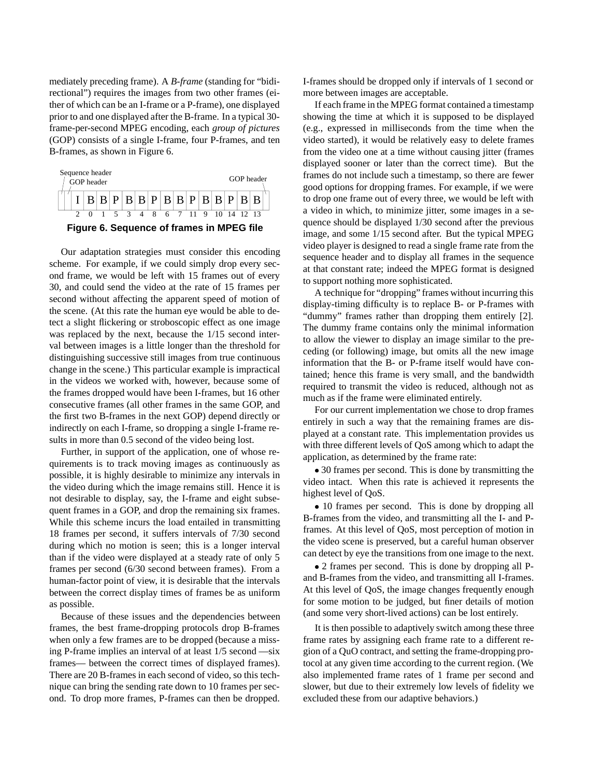mediately preceding frame). A *B-frame* (standing for "bidirectional") requires the images from two other frames (either of which can be an I-frame or a P-frame), one displayed prior to and one displayed after the B-frame. In a typical 30 frame-per-second MPEG encoding, each *group of pictures* (GOP) consists of a single I-frame, four P-frames, and ten B-frames, as shown in Figure 6.



Our adaptation strategies must consider this encoding scheme. For example, if we could simply drop every second frame, we would be left with 15 frames out of every 30, and could send the video at the rate of 15 frames per second without affecting the apparent speed of motion of the scene. (At this rate the human eye would be able to detect a slight flickering or stroboscopic effect as one image was replaced by the next, because the 1/15 second interval between images is a little longer than the threshold for distinguishing successive still images from true continuous change in the scene.) This particular example is impractical in the videos we worked with, however, because some of the frames dropped would have been I-frames, but 16 other consecutive frames (all other frames in the same GOP, and the first two B-frames in the next GOP) depend directly or indirectly on each I-frame, so dropping a single I-frame results in more than 0.5 second of the video being lost.

Further, in support of the application, one of whose requirements is to track moving images as continuously as possible, it is highly desirable to minimize any intervals in the video during which the image remains still. Hence it is not desirable to display, say, the I-frame and eight subsequent frames in a GOP, and drop the remaining six frames. While this scheme incurs the load entailed in transmitting 18 frames per second, it suffers intervals of 7/30 second during which no motion is seen; this is a longer interval than if the video were displayed at a steady rate of only 5 frames per second (6/30 second between frames). From a human-factor point of view, it is desirable that the intervals between the correct display times of frames be as uniform as possible.

Because of these issues and the dependencies between frames, the best frame-dropping protocols drop B-frames when only a few frames are to be dropped (because a missing P-frame implies an interval of at least 1/5 second —six frames— between the correct times of displayed frames). There are 20 B-frames in each second of video, so this technique can bring the sending rate down to 10 frames per second. To drop more frames, P-frames can then be dropped. I-frames should be dropped only if intervals of 1 second or more between images are acceptable.

If each frame in the MPEG format contained a timestamp showing the time at which it is supposed to be displayed (e.g., expressed in milliseconds from the time when the video started), it would be relatively easy to delete frames from the video one at a time without causing jitter (frames displayed sooner or later than the correct time). But the frames do not include such a timestamp, so there are fewer good options for dropping frames. For example, if we were to drop one frame out of every three, we would be left with a video in which, to minimize jitter, some images in a sequence should be displayed 1/30 second after the previous image, and some 1/15 second after. But the typical MPEG video player is designed to read a single frame rate from the sequence header and to display all frames in the sequence at that constant rate; indeed the MPEG format is designed to support nothing more sophisticated.

A technique for "dropping" frames without incurring this display-timing difficulty is to replace B- or P-frames with "dummy" frames rather than dropping them entirely [2]. The dummy frame contains only the minimal information to allow the viewer to display an image similar to the preceding (or following) image, but omits all the new image information that the B- or P-frame itself would have contained; hence this frame is very small, and the bandwidth required to transmit the video is reduced, although not as much as if the frame were eliminated entirely.

For our current implementation we chose to drop frames entirely in such a way that the remaining frames are displayed at a constant rate. This implementation provides us with three different levels of QoS among which to adapt the application, as determined by the frame rate:

 30 frames per second. This is done by transmitting the video intact. When this rate is achieved it represents the highest level of QoS.

 10 frames per second. This is done by dropping all B-frames from the video, and transmitting all the I- and Pframes. At this level of QoS, most perception of motion in the video scene is preserved, but a careful human observer can detect by eye the transitions from one image to the next.

 2 frames per second. This is done by dropping all Pand B-frames from the video, and transmitting all I-frames. At this level of QoS, the image changes frequently enough for some motion to be judged, but finer details of motion (and some very short-lived actions) can be lost entirely.

It is then possible to adaptively switch among these three frame rates by assigning each frame rate to a different region of a QuO contract, and setting the frame-dropping protocol at any given time according to the current region. (We also implemented frame rates of 1 frame per second and slower, but due to their extremely low levels of fidelity we excluded these from our adaptive behaviors.)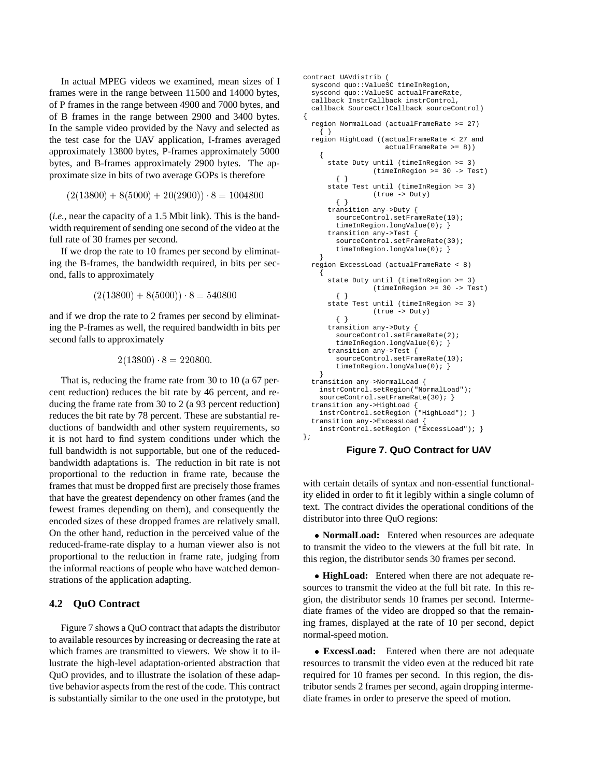In actual MPEG videos we examined, mean sizes of I frames were in the range between 11500 and 14000 bytes, of P frames in the range between 4900 and 7000 bytes, and of B frames in the range between 2900 and 3400 bytes. In the sample video provided by the Navy and selected as the test case for the UAV application, I-frames averaged approximately 13800 bytes, P-frames approximately 5000 bytes, and B-frames approximately 2900 bytes. The approximate size in bits of two average GOPs is therefore

 $(2(13800) + 8(5000) + 20(2900)) \cdot 8 = 1004800$ 

(*i.e.*, near the capacity of a 1.5 Mbit link). This is the bandwidth requirement of sending one second of the video at the full rate of 30 frames per second.

If we drop the rate to 10 frames per second by eliminating the B-frames, the bandwidth required, in bits per second, falls to approximately

$$
(2(13800) + 8(5000)) \cdot 8 = 540800
$$

and if we drop the rate to 2 frames per second by eliminating the P-frames as well, the required bandwidth in bits per second falls to approximately

$$
2(13800) \cdot 8 = 220800.
$$

That is, reducing the frame rate from 30 to 10 (a 67 percent reduction) reduces the bit rate by 46 percent, and reducing the frame rate from 30 to 2 (a 93 percent reduction) reduces the bit rate by 78 percent. These are substantial reductions of bandwidth and other system requirements, so it is not hard to find system conditions under which the full bandwidth is not supportable, but one of the reducedbandwidth adaptations is. The reduction in bit rate is not proportional to the reduction in frame rate, because the frames that must be dropped first are precisely those frames that have the greatest dependency on other frames (and the fewest frames depending on them), and consequently the encoded sizes of these dropped frames are relatively small. On the other hand, reduction in the perceived value of the reduced-frame-rate display to a human viewer also is not proportional to the reduction in frame rate, judging from the informal reactions of people who have watched demonstrations of the application adapting.

# **4.2 QuO Contract**

Figure 7 shows a QuO contract that adapts the distributor to available resources by increasing or decreasing the rate at which frames are transmitted to viewers. We show it to illustrate the high-level adaptation-oriented abstraction that QuO provides, and to illustrate the isolation of these adaptive behavior aspects from the rest of the code. This contract is substantially similar to the one used in the prototype, but

```
contract UAVdistrib (
  syscond quo::ValueSC timeInRegion,
  syscond quo::ValueSC actualFrameRate,
  callback InstrCallback instrControl,
  callback SourceCtrlCallback sourceControl)
{
  region NormalLoad (actualFrameRate >= 27)
   { }
  region HighLoad ((actualFrameRate < 27 and
                    actualFrameRate >= 8))
    {
      state Duty until (timeInRegion >= 3)
                 (timeInRegion >= 30 -> Test)
        { }
      state Test until (timeInRegion >= 3)
                 (true -> Duty)
        { }
      transition any->Duty {
        sourceControl.setFrameRate(10);
        timeInRegion.longValue(0); }
      transition any->Test {
        sourceControl.setFrameRate(30);
        timeInRegion.longValue(0); }
   }
  region ExcessLoad (actualFrameRate < 8)
    {
      state Duty until (timeInRegion >= 3)
                 (timeInRegion >= 30 -> Test)
        { }
      state Test until (timeInRegion >= 3)
                 (true -> Duty)
        { }
      transition any->Duty {
        sourceControl.setFrameRate(2);
        timeInRegion.longValue(0); }
      transition any->Test {
        sourceControl.setFrameRate(10);
        timeInRegion.longValue(0); }
    }
  transition any->NormalLoad {
    instrControl.setRegion("NormalLoad");
    sourceControl.setFrameRate(30); }
  transition any->HighLoad {
   instrControl.setRegion ("HighLoad"); }
  transition any->ExcessLoad {
    instrControl.setRegion ("ExcessLoad"); }
};
```


with certain details of syntax and non-essential functionality elided in order to fit it legibly within a single column of text. The contract divides the operational conditions of the distributor into three QuO regions:

 **NormalLoad:** Entered when resources are adequate to transmit the video to the viewers at the full bit rate. In this region, the distributor sends 30 frames per second.

 **HighLoad:** Entered when there are not adequate resources to transmit the video at the full bit rate. In this region, the distributor sends 10 frames per second. Intermediate frames of the video are dropped so that the remaining frames, displayed at the rate of 10 per second, depict normal-speed motion.

 **ExcessLoad:** Entered when there are not adequate resources to transmit the video even at the reduced bit rate required for 10 frames per second. In this region, the distributor sends 2 frames per second, again dropping intermediate frames in order to preserve the speed of motion.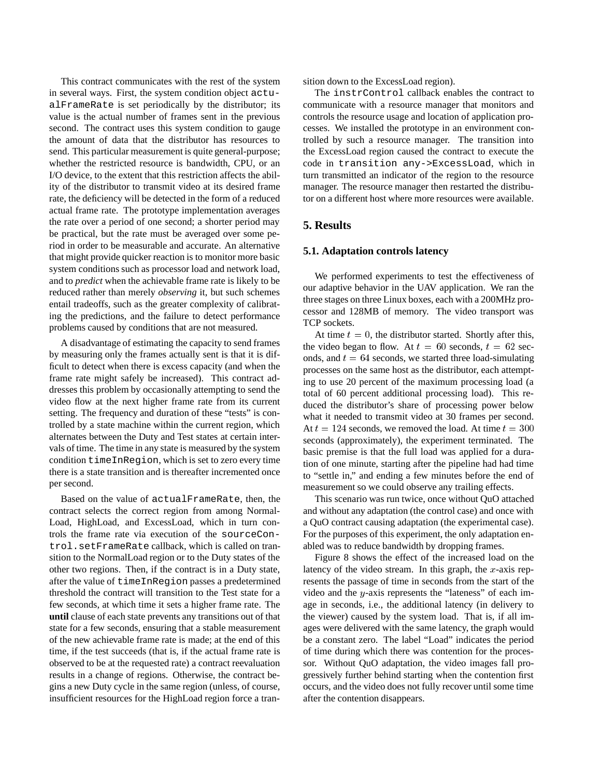This contract communicates with the rest of the system in several ways. First, the system condition object actualFrameRate is set periodically by the distributor; its value is the actual number of frames sent in the previous second. The contract uses this system condition to gauge the amount of data that the distributor has resources to send. This particular measurement is quite general-purpose; whether the restricted resource is bandwidth, CPU, or an I/O device, to the extent that this restriction affects the ability of the distributor to transmit video at its desired frame rate, the deficiency will be detected in the form of a reduced actual frame rate. The prototype implementation averages the rate over a period of one second; a shorter period may be practical, but the rate must be averaged over some period in order to be measurable and accurate. An alternative that might provide quicker reaction is to monitor more basic system conditions such as processor load and network load, and to *predict* when the achievable frame rate is likely to be reduced rather than merely *observing* it, but such schemes entail tradeoffs, such as the greater complexity of calibrating the predictions, and the failure to detect performance problems caused by conditions that are not measured.

A disadvantage of estimating the capacity to send frames by measuring only the frames actually sent is that it is difficult to detect when there is excess capacity (and when the frame rate might safely be increased). This contract addresses this problem by occasionally attempting to send the video flow at the next higher frame rate from its current setting. The frequency and duration of these "tests" is controlled by a state machine within the current region, which alternates between the Duty and Test states at certain intervals of time. The time in any state is measured by the system condition timeInRegion, which is set to zero every time there is a state transition and is thereafter incremented once per second.

Based on the value of actualFrameRate, then, the contract selects the correct region from among Normal-Load, HighLoad, and ExcessLoad, which in turn controls the frame rate via execution of the sourceControl.setFrameRate callback, which is called on transition to the NormalLoad region or to the Duty states of the other two regions. Then, if the contract is in a Duty state, after the value of timeInRegion passes a predetermined threshold the contract will transition to the Test state for a few seconds, at which time it sets a higher frame rate. The **until** clause of each state prevents any transitions out of that state for a few seconds, ensuring that a stable measurement of the new achievable frame rate is made; at the end of this time, if the test succeeds (that is, if the actual frame rate is observed to be at the requested rate) a contract reevaluation results in a change of regions. Otherwise, the contract begins a new Duty cycle in the same region (unless, of course, insufficient resources for the HighLoad region force a transition down to the ExcessLoad region).

The instrControl callback enables the contract to communicate with a resource manager that monitors and controls the resource usage and location of application processes. We installed the prototype in an environment controlled by such a resource manager. The transition into the ExcessLoad region caused the contract to execute the code in transition any->ExcessLoad, which in turn transmitted an indicator of the region to the resource manager. The resource manager then restarted the distributor on a different host where more resources were available.

# **5. Results**

#### **5.1. Adaptation controls latency**

We performed experiments to test the effectiveness of our adaptive behavior in the UAV application. We ran the three stages on three Linux boxes, each with a 200MHz processor and 128MB of memory. The video transport was TCP sockets.

At time  $t = 0$ , the distributor started. Shortly after this, the video began to flow. At  $t = 60$  seconds,  $t = 62$  seconds, and  $t = 64$  seconds, we started three load-simulating processes on the same host as the distributor, each attempting to use 20 percent of the maximum processing load (a total of 60 percent additional processing load). This reduced the distributor's share of processing power below what it needed to transmit video at 30 frames per second. At  $t = 124$  seconds, we removed the load. At time  $t = 300$ seconds (approximately), the experiment terminated. The basic premise is that the full load was applied for a duration of one minute, starting after the pipeline had had time to "settle in," and ending a few minutes before the end of measurement so we could observe any trailing effects.

This scenario was run twice, once without QuO attached and without any adaptation (the control case) and once with a QuO contract causing adaptation (the experimental case). For the purposes of this experiment, the only adaptation enabled was to reduce bandwidth by dropping frames.

Figure 8 shows the effect of the increased load on the latency of the video stream. In this graph, the x-axis represents the passage of time in seconds from the start of the video and the <sup>y</sup>-axis represents the "lateness" of each image in seconds, i.e., the additional latency (in delivery to the viewer) caused by the system load. That is, if all images were delivered with the same latency, the graph would be a constant zero. The label "Load" indicates the period of time during which there was contention for the processor. Without QuO adaptation, the video images fall progressively further behind starting when the contention first occurs, and the video does not fully recover until some time after the contention disappears.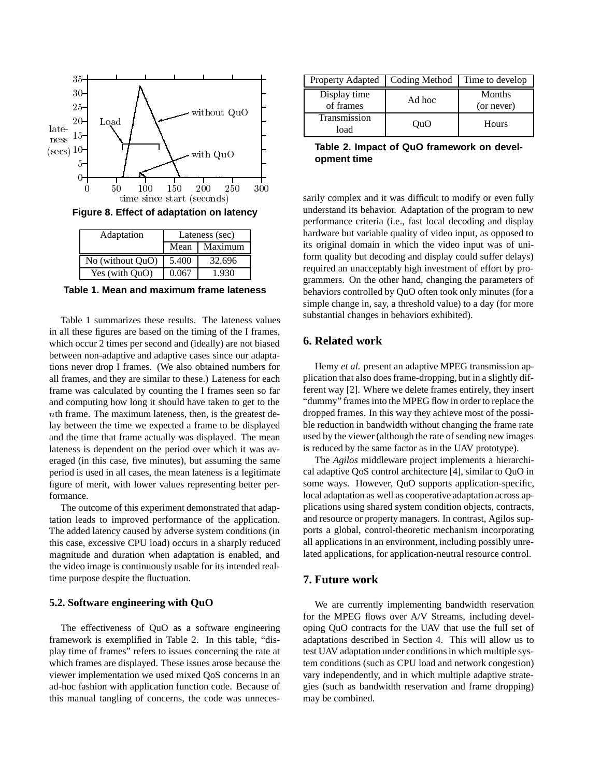

**Figure 8. Effect of adaptation on latency**

| Adaptation       | Lateness (sec) |              |
|------------------|----------------|--------------|
|                  |                | Mean Maximum |
| No (without QuO) | 5.400          | 32.696       |
|                  |                |              |

**Table 1. Mean and maximum frame lateness**

Table 1 summarizes these results. The lateness values in all these figures are based on the timing of the I frames, which occur 2 times per second and (ideally) are not biased between non-adaptive and adaptive cases since our adaptations never drop I frames. (We also obtained numbers for all frames, and they are similar to these.) Lateness for each frame was calculated by counting the I frames seen so far and computing how long it should have taken to get to the nth frame. The maximum lateness, then, is the greatest delay between the time we expected a frame to be displayed and the time that frame actually was displayed. The mean lateness is dependent on the period over which it was averaged (in this case, five minutes), but assuming the same period is used in all cases, the mean lateness is a legitimate figure of merit, with lower values representing better performance.

The outcome of this experiment demonstrated that adaptation leads to improved performance of the application. The added latency caused by adverse system conditions (in this case, excessive CPU load) occurs in a sharply reduced magnitude and duration when adaptation is enabled, and the video image is continuously usable for its intended realtime purpose despite the fluctuation.

#### **5.2. Software engineering with QuO**

The effectiveness of QuO as a software engineering framework is exemplified in Table 2. In this table, "display time of frames" refers to issues concerning the rate at which frames are displayed. These issues arose because the viewer implementation we used mixed QoS concerns in an ad-hoc fashion with application function code. Because of this manual tangling of concerns, the code was unneces-

| <b>Property Adapted</b>   | <b>Coding Method</b> | Time to develop      |
|---------------------------|----------------------|----------------------|
| Display time<br>of frames | Ad hoc               | Months<br>(or never) |
| Transmission<br>load      | QuO                  | Hours                |

**Table 2. Impact of QuO framework on development time**

sarily complex and it was difficult to modify or even fully understand its behavior. Adaptation of the program to new performance criteria (i.e., fast local decoding and display hardware but variable quality of video input, as opposed to its original domain in which the video input was of uniform quality but decoding and display could suffer delays) required an unacceptably high investment of effort by programmers. On the other hand, changing the parameters of behaviors controlled by QuO often took only minutes (for a simple change in, say, a threshold value) to a day (for more substantial changes in behaviors exhibited).

# **6. Related work**

Hemy *et al.* present an adaptive MPEG transmission application that also does frame-dropping, but in a slightly different way [2]. Where we delete frames entirely, they insert "dummy" frames into the MPEG flow in order to replace the dropped frames. In this way they achieve most of the possible reduction in bandwidth without changing the frame rate used by the viewer (although the rate of sending new images is reduced by the same factor as in the UAV prototype).

The *Agilos* middleware project implements a hierarchical adaptive QoS control architecture [4], similar to QuO in some ways. However, QuO supports application-specific, local adaptation as well as cooperative adaptation across applications using shared system condition objects, contracts, and resource or property managers. In contrast, Agilos supports a global, control-theoretic mechanism incorporating all applications in an environment, including possibly unrelated applications, for application-neutral resource control.

# **7. Future work**

We are currently implementing bandwidth reservation for the MPEG flows over A/V Streams, including developing QuO contracts for the UAV that use the full set of adaptations described in Section 4. This will allow us to test UAV adaptation under conditions in which multiple system conditions (such as CPU load and network congestion) vary independently, and in which multiple adaptive strategies (such as bandwidth reservation and frame dropping) may be combined.